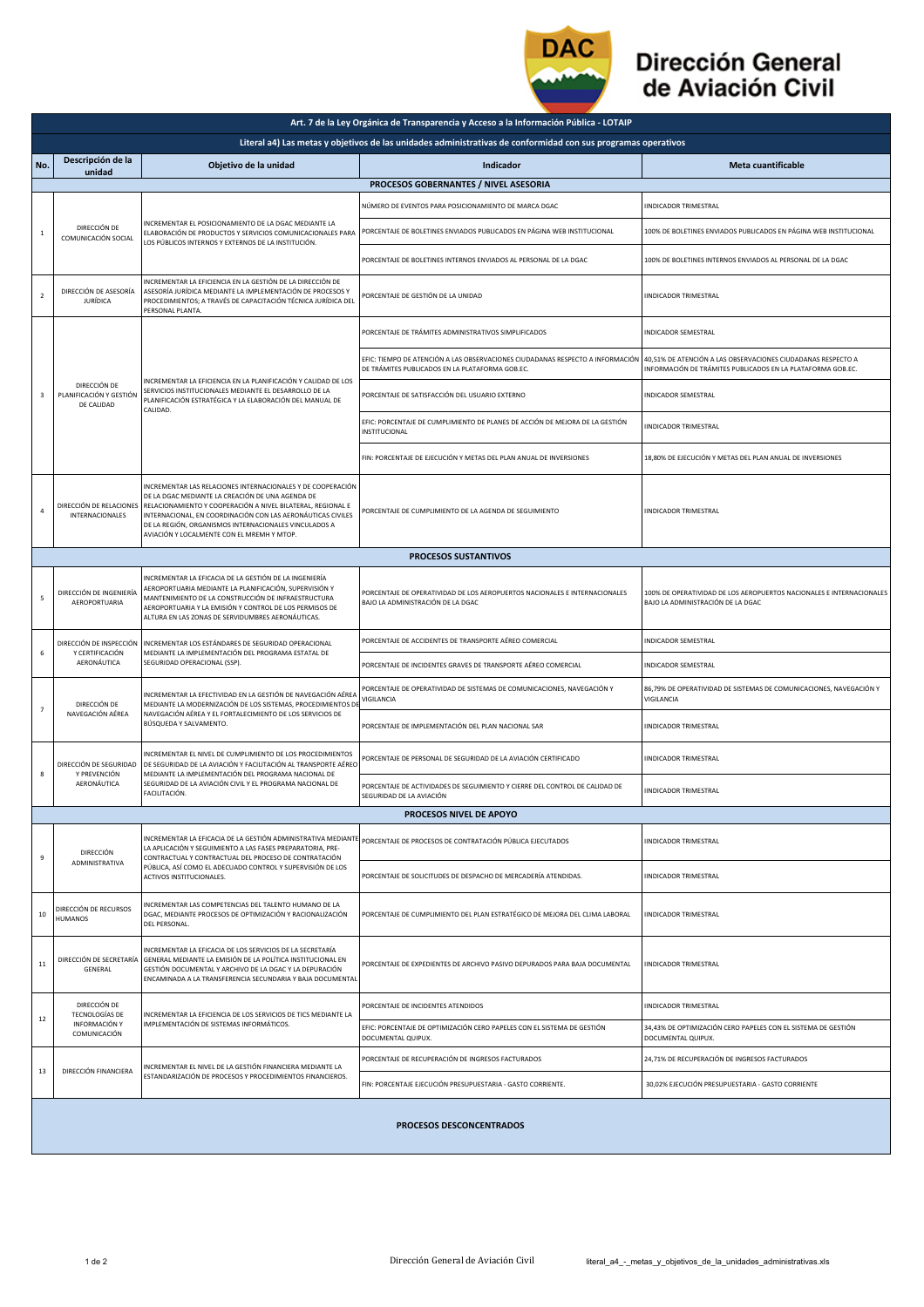

## Dirección General de Aviación Civil

|                                                                                                               | Art. 7 de la Ley Orgánica de Transparencia y Acceso a la Información Pública - LOTAIP |                                                                                                                                                                                                                                                                                                                                                      |                                                                                                                                   |                                                                                                                             |  |  |  |  |
|---------------------------------------------------------------------------------------------------------------|---------------------------------------------------------------------------------------|------------------------------------------------------------------------------------------------------------------------------------------------------------------------------------------------------------------------------------------------------------------------------------------------------------------------------------------------------|-----------------------------------------------------------------------------------------------------------------------------------|-----------------------------------------------------------------------------------------------------------------------------|--|--|--|--|
| Literal a4) Las metas y objetivos de las unidades administrativas de conformidad con sus programas operativos |                                                                                       |                                                                                                                                                                                                                                                                                                                                                      |                                                                                                                                   |                                                                                                                             |  |  |  |  |
| No.                                                                                                           | Descripción de la<br>unidad                                                           | Objetivo de la unidad                                                                                                                                                                                                                                                                                                                                | Indicador                                                                                                                         | Meta cuantificable                                                                                                          |  |  |  |  |
| PROCESOS GOBERNANTES / NIVEL ASESORIA                                                                         |                                                                                       |                                                                                                                                                                                                                                                                                                                                                      |                                                                                                                                   |                                                                                                                             |  |  |  |  |
|                                                                                                               |                                                                                       |                                                                                                                                                                                                                                                                                                                                                      | NÚMERO DE EVENTOS PARA POSICIONAMIENTO DE MARCA DGAC                                                                              | <b>IINDICADOR TRIMESTRAL</b>                                                                                                |  |  |  |  |
| 1                                                                                                             | DIRECCIÓN DE<br>COMUNICACIÓN SOCIAL                                                   | INCREMENTAR EL POSICIONAMIENTO DE LA DGAC MEDIANTE LA<br>ELABORACIÓN DE PRODUCTOS Y SERVICIOS COMUNICACIONALES PARA<br>LOS PÚBLICOS INTERNOS Y EXTERNOS DE LA INSTITUCIÓN.                                                                                                                                                                           | PORCENTAJE DE BOLETINES ENVIADOS PUBLICADOS EN PÁGINA WEB INSTITUCIONAL                                                           | 100% DE BOLETINES ENVIADOS PUBLICADOS EN PÁGINA WEB INSTITUCIONAL                                                           |  |  |  |  |
|                                                                                                               |                                                                                       |                                                                                                                                                                                                                                                                                                                                                      | PORCENTAJE DE BOLETINES INTERNOS ENVIADOS AL PERSONAL DE LA DGAC                                                                  | 100% DE BOLETINES INTERNOS ENVIADOS AL PERSONAL DE LA DGAC                                                                  |  |  |  |  |
| $\overline{2}$                                                                                                | DIRECCIÓN DE ASESORÍA<br>JURÍDICA                                                     | INCREMENTAR LA EFICIENCIA EN LA GESTIÓN DE LA DIRECCIÓN DE<br>ASESORÍA JURÍDICA MEDIANTE LA IMPLEMENTACIÓN DE PROCESOS Y<br>PROCEDIMIENTOS; A TRAVÉS DE CAPACITACIÓN TÉCNICA JURÍDICA DEL<br>PERSONAL PLANTA.                                                                                                                                        | PORCENTAJE DE GESTIÓN DE LA UNIDAD                                                                                                | <b>IINDICADOR TRIMESTRAL</b>                                                                                                |  |  |  |  |
| 3                                                                                                             | DIRECCIÓN DE<br>PLANIFICACIÓN Y GESTIÓN<br>DE CALIDAD                                 | INCREMENTAR LA EFICIENCIA EN LA PLANIFICACIÓN Y CALIDAD DE LOS<br>SERVICIOS INSTITUCIONALES MEDIANTE EL DESARROLLO DE LA<br>PLANIFICACIÓN ESTRATÉGICA Y LA ELABORACIÓN DEL MANUAL DE<br>CALIDAD.                                                                                                                                                     | PORCENTAJE DE TRÁMITES ADMINISTRATIVOS SIMPLIFICADOS                                                                              | <b>INDICADOR SEMESTRAL</b>                                                                                                  |  |  |  |  |
|                                                                                                               |                                                                                       |                                                                                                                                                                                                                                                                                                                                                      | EFIC: TIEMPO DE ATENCIÓN A LAS OBSERVACIONES CIUDADANAS RESPECTO A INFORMACIÓN<br>DE TRÁMITES PUBLICADOS EN LA PLATAFORMA GOB.EC. | 40,51% DE ATENCIÓN A LAS OBSERVACIONES CIUDADANAS RESPECTO A<br>INFORMACIÓN DE TRÁMITES PUBLICADOS EN LA PLATAFORMA GOB.EC. |  |  |  |  |
|                                                                                                               |                                                                                       |                                                                                                                                                                                                                                                                                                                                                      | PORCENTAJE DE SATISFACCIÓN DEL USUARIO EXTERNO                                                                                    | <b>INDICADOR SEMESTRAL</b>                                                                                                  |  |  |  |  |
|                                                                                                               |                                                                                       |                                                                                                                                                                                                                                                                                                                                                      | EFIC: PORCENTAJE DE CUMPLIMIENTO DE PLANES DE ACCIÓN DE MEJORA DE LA GESTIÓN<br><b>INSTITUCIONAL</b>                              | <b>IINDICADOR TRIMESTRAL</b>                                                                                                |  |  |  |  |
|                                                                                                               |                                                                                       |                                                                                                                                                                                                                                                                                                                                                      | FIN: PORCENTAJE DE EJECUCIÓN Y METAS DEL PLAN ANUAL DE INVERSIONES                                                                | 18,80% DE EJECUCIÓN Y METAS DEL PLAN ANUAL DE INVERSIONES                                                                   |  |  |  |  |
| $\overline{4}$                                                                                                | DIRECCIÓN DE RELACIONES<br>INTERNACIONALES                                            | INCREMENTAR LAS RELACIONES INTERNACIONALES Y DE COOPERACIÓN<br>DE LA DGAC MEDIANTE LA CREACIÓN DE UNA AGENDA DE<br>RELACIONAMIENTO Y COOPERACIÓN A NIVEL BILATERAL, REGIONAL E<br>INTERNACIONAL, EN COORDINACIÓN CON LAS AERONÁUTICAS CIVILES<br>DE LA REGIÓN, ORGANISMOS INTERNACIONALES VINCULADOS A<br>AVIACIÓN Y LOCALMENTE CON EL MREMH Y MTOP. | PORCENTAJE DE CUMPLIMIENTO DE LA AGENDA DE SEGUIMIENTO                                                                            | <b>IINDICADOR TRIMESTRAL</b>                                                                                                |  |  |  |  |
|                                                                                                               |                                                                                       |                                                                                                                                                                                                                                                                                                                                                      | <b>PROCESOS SUSTANTIVOS</b>                                                                                                       |                                                                                                                             |  |  |  |  |
| 5                                                                                                             | DIRECCIÓN DE INGENIERÍA<br>AEROPORTUARIA                                              | INCREMENTAR LA EFICACIA DE LA GESTIÓN DE LA INGENIERÍA<br>AEROPORTUARIA MEDIANTE LA PLANIFICACIÓN, SUPERVISIÓN Y<br>MANTENIMIENTO DE LA CONSTRUCCIÓN DE INFRAESTRUCTURA<br>AEROPORTUARIA Y LA EMISIÓN Y CONTROL DE LOS PERMISOS DE<br>ALTURA EN LAS ZONAS DE SERVIDUMBRES AERONÁUTICAS.                                                              | PORCENTAJE DE OPERATIVIDAD DE LOS AEROPUERTOS NACIONALES E INTERNACIONALES<br>BAJO LA ADMINISTRACIÓN DE LA DGAC                   | 100% DE OPERATIVIDAD DE LOS AEROPUERTOS NACIONALES E INTERNACIONALES<br>BAJO LA ADMINISTRACIÓN DE LA DGAC                   |  |  |  |  |
| 6                                                                                                             | DIRECCIÓN DE INSPECCIÓN<br>Y CERTIFICACIÓN<br>AERONÁUTICA                             | INCREMENTAR LOS ESTÁNDARES DE SEGURIDAD OPERACIONAL<br>MEDIANTE LA IMPLEMENTACIÓN DEL PROGRAMA ESTATAL DE<br>SEGURIDAD OPERACIONAL (SSP).                                                                                                                                                                                                            | PORCENTAJE DE ACCIDENTES DE TRANSPORTE AÉREO COMERCIAL                                                                            | INDICADOR SEMESTRAL                                                                                                         |  |  |  |  |
|                                                                                                               |                                                                                       |                                                                                                                                                                                                                                                                                                                                                      | PORCENTAJE DE INCIDENTES GRAVES DE TRANSPORTE AÉREO COMERCIAL                                                                     | INDICADOR SEMESTRAL                                                                                                         |  |  |  |  |
| $\overline{7}$                                                                                                | DIRECCIÓN DE<br>NAVEGACIÓN AÉREA                                                      | INCREMENTAR LA EFECTIVIDAD EN LA GESTIÓN DE NAVEGACIÓN AÉREA<br>MEDIANTE LA MODERNIZACIÓN DE LOS SISTEMAS, PROCEDIMIENTOS DI<br>NAVEGACIÓN AÉREA Y EL FORTALECIMIENTO DE LOS SERVICIOS DE<br>BÚSQUEDA Y SALVAMENTO.                                                                                                                                  | PORCENTAJE DE OPERATIVIDAD DE SISTEMAS DE COMUNICACIONES, NAVEGACIÓN Y<br>VIGILANCIA                                              | 86,79% DE OPERATIVIDAD DE SISTEMAS DE COMUNICACIONES, NAVEGACIÓN Y<br>VIGILANCIA                                            |  |  |  |  |
|                                                                                                               |                                                                                       |                                                                                                                                                                                                                                                                                                                                                      | PORCENTAJE DE IMPLEMENTACIÓN DEL PLAN NACIONAL SAR                                                                                | <b>IINDICADOR TRIMESTRAL</b>                                                                                                |  |  |  |  |
| 8                                                                                                             | DIRECCIÓN DE SEGURIDAD<br>Y PREVENCIÓN<br>AERONÁUTICA                                 | INCREMENTAR EL NIVEL DE CUMPLIMIENTO DE LOS PROCEDIMIENTOS<br>DE SEGURIDAD DE LA AVIACIÓN Y FACILITACIÓN AL TRANSPORTE AÉREO<br>MEDIANTE LA IMPLEMENTACIÓN DEL PROGRAMA NACIONAL DE<br>SEGURIDAD DE LA AVIACIÓN CIVIL Y EL PROGRAMA NACIONAL DE<br>FACILITACIÓN.                                                                                     | PORCENTAJE DE PERSONAL DE SEGURIDAD DE LA AVIACIÓN CERTIFICADO                                                                    | <b>IINDICADOR TRIMESTRAL</b>                                                                                                |  |  |  |  |
|                                                                                                               |                                                                                       |                                                                                                                                                                                                                                                                                                                                                      | PORCENTAJE DE ACTIVIDADES DE SEGUIMIENTO Y CIERRE DEL CONTROL DE CALIDAD DE<br>SEGURIDAD DE LA AVIACIÓN                           | <b>IINDICADOR TRIMESTRAL</b>                                                                                                |  |  |  |  |
|                                                                                                               |                                                                                       |                                                                                                                                                                                                                                                                                                                                                      | PROCESOS NIVEL DE APOYO                                                                                                           |                                                                                                                             |  |  |  |  |
| 9                                                                                                             | DIRECCIÓN<br>ADMINISTRATIVA                                                           | INCREMENTAR LA EFICACIA DE LA GESTIÓN ADMINISTRATIVA MEDIANTE<br>LA APLICACIÓN Y SEGUIMIENTO A LAS FASES PREPARATORIA, PRE-<br>CONTRACTUAL Y CONTRACTUAL DEL PROCESO DE CONTRATACIÓN<br>PÚBLICA, ASÍ COMO EL ADECUADO CONTROL Y SUPERVISIÓN DE LOS<br>ACTIVOS INSTITUCIONALES.                                                                       | PORCENTAJE DE PROCESOS DE CONTRATACIÓN PÚBLICA EJECUTADOS                                                                         | <b>IINDICADOR TRIMESTRAL</b>                                                                                                |  |  |  |  |
|                                                                                                               |                                                                                       |                                                                                                                                                                                                                                                                                                                                                      | PORCENTAJE DE SOLICITUDES DE DESPACHO DE MERCADERÍA ATENDIDAS.                                                                    | <b>IINDICADOR TRIMESTRAL</b>                                                                                                |  |  |  |  |
| 10                                                                                                            | DIRECCIÓN DE RECURSOS<br><b>HUMANOS</b>                                               | INCREMENTAR LAS COMPETENCIAS DEL TALENTO HUMANO DE LA<br>DGAC, MEDIANTE PROCESOS DE OPTIMIZACIÓN Y RACIONALIZACIÓN<br>DEL PERSONAL.                                                                                                                                                                                                                  | PORCENTAJE DE CUMPLIMIENTO DEL PLAN ESTRATÉGICO DE MEJORA DEL CLIMA LABORAL                                                       | <b>IINDICADOR TRIMESTRAL</b>                                                                                                |  |  |  |  |
| $11$                                                                                                          | DIRECCIÓN DE SECRETARÍA<br>GENERAL                                                    | INCREMENTAR LA EFICACIA DE LOS SERVICIOS DE LA SECRETARÍA<br>GENERAL MEDIANTE LA EMISIÓN DE LA POLÍTICA INSTITUCIONAL EN<br>GESTIÓN DOCUMENTAL Y ARCHIVO DE LA DGAC Y LA DEPURACIÓN<br>ENCAMINADA A LA TRANSFERENCIA SECUNDARIA Y BAJA DOCUMENTAL                                                                                                    | PORCENTAJE DE EXPEDIENTES DE ARCHIVO PASIVO DEPURADOS PARA BAJA DOCUMENTAL                                                        | <b>IINDICADOR TRIMESTRAL</b>                                                                                                |  |  |  |  |
| 12                                                                                                            | DIRECCIÓN DE<br>TECNOLOGÍAS DE<br>INFORMACIÓN Y<br>COMUNICACIÓN                       | INCREMENTAR LA EFICIENCIA DE LOS SERVICIOS DE TICS MEDIANTE LA<br>IMPLEMENTACIÓN DE SISTEMAS INFORMÁTICOS.                                                                                                                                                                                                                                           | PORCENTAJE DE INCIDENTES ATENDIDOS                                                                                                | <b>IINDICADOR TRIMESTRAL</b>                                                                                                |  |  |  |  |
|                                                                                                               |                                                                                       |                                                                                                                                                                                                                                                                                                                                                      | EFIC: PORCENTAJE DE OPTIMIZACIÓN CERO PAPELES CON EL SISTEMA DE GESTIÓN<br>DOCUMENTAL QUIPUX.                                     | 34,43% DE OPTIMIZACIÓN CERO PAPELES CON EL SISTEMA DE GESTIÓN<br>DOCUMENTAL QUIPUX.                                         |  |  |  |  |
| 13                                                                                                            | DIRECCIÓN FINANCIERA                                                                  | INCREMENTAR EL NIVEL DE LA GESTIÓN FINANCIERA MEDIANTE LA<br>ESTANDARIZACIÓN DE PROCESOS Y PROCEDIMIENTOS FINANCIEROS.                                                                                                                                                                                                                               | PORCENTAJE DE RECUPERACIÓN DE INGRESOS FACTURADOS                                                                                 | 24,71% DE RECUPERACIÓN DE INGRESOS FACTURADOS                                                                               |  |  |  |  |
|                                                                                                               |                                                                                       |                                                                                                                                                                                                                                                                                                                                                      | FIN: PORCENTAJE EJECUCIÓN PRESUPUESTARIA - GASTO CORRIENTE.                                                                       | 30,02% EJECUCIÓN PRESUPUESTARIA - GASTO CORRIENTE                                                                           |  |  |  |  |
|                                                                                                               | <b>PROCESOS DESCONCENTRADOS</b>                                                       |                                                                                                                                                                                                                                                                                                                                                      |                                                                                                                                   |                                                                                                                             |  |  |  |  |